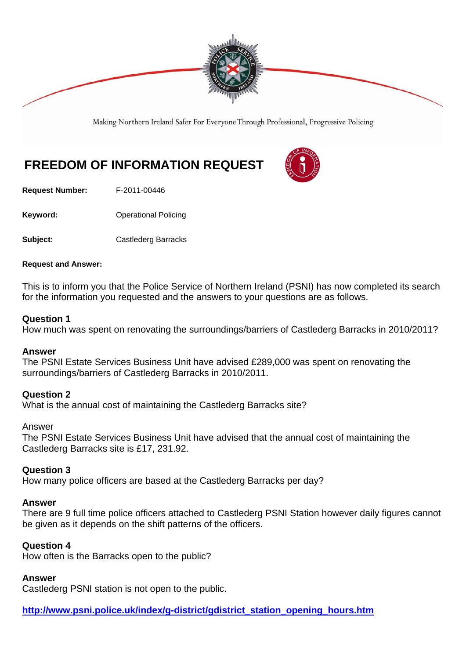

Making Northern Ireland Safer For Everyone Through Professional, Progressive Policing

# **FREEDOM OF INFORMATION REQUEST**



**Request Number:** F-2011-00446

**Keyword: Conservery Operational Policing** 

**Subject:** Castlederg Barracks

## **Request and Answer:**

This is to inform you that the Police Service of Northern Ireland (PSNI) has now completed its search for the information you requested and the answers to your questions are as follows.

## **Question 1**

How much was spent on renovating the surroundings/barriers of Castlederg Barracks in 2010/2011?

## **Answer**

The PSNI Estate Services Business Unit have advised £289,000 was spent on renovating the surroundings/barriers of Castlederg Barracks in 2010/2011.

## **Question 2**

What is the annual cost of maintaining the Castlederg Barracks site?

## Answer

The PSNI Estate Services Business Unit have advised that the annual cost of maintaining the Castlederg Barracks site is £17, 231.92.

## **Question 3**

How many police officers are based at the Castlederg Barracks per day?

## **Answer**

There are 9 full time police officers attached to Castlederg PSNI Station however daily figures cannot be given as it depends on the shift patterns of the officers.

## **Question 4**

How often is the Barracks open to the public?

# **Answer**

Castlederg PSNI station is not open to the public.

**http://www.psni.police.uk/index/g-district/gdistrict\_station\_opening\_hours.htm**